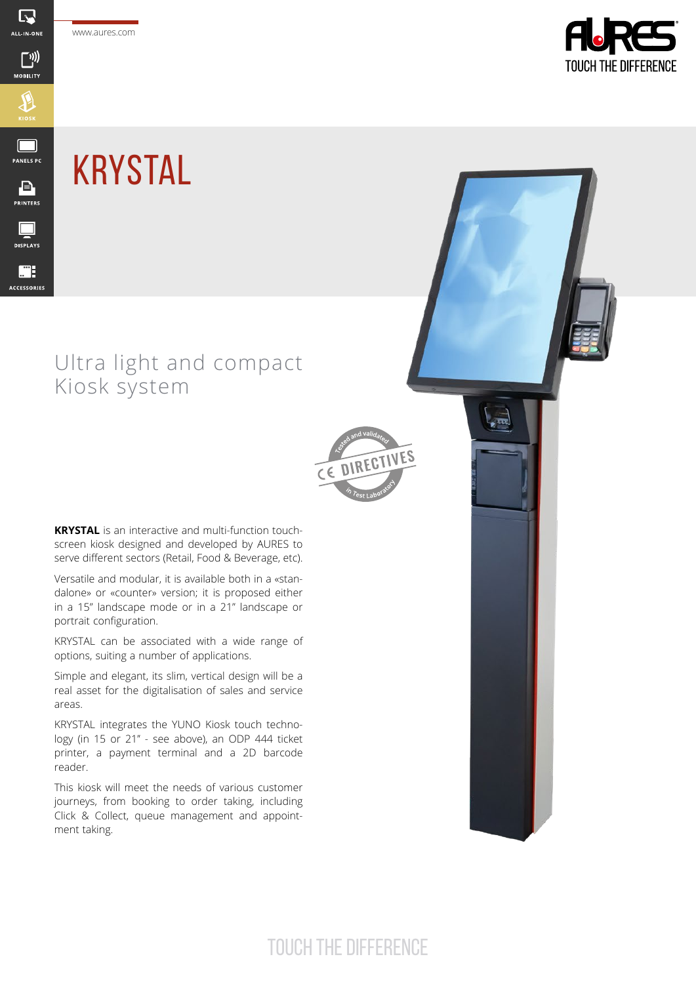www.aures.com

 $\overline{\mathbb{R}}$ ALL-IN-ONE

 $\bigcap_{i}$ 

**MOBILITY** 

 $\bigoplus$ 

 $\Box$ **PANELS PC** 

 $\begin{array}{c}\n\boxed{\blacksquare} \\
\text{PRINTERS}\n\end{array}$ 

 $\Box$ **DISPLAYS** 

m. ACCESSORIES



## KRYSTAL

## Ultra light and compact Kiosk system



ہے<br>تھ

**KRYSTAL** is an interactive and multi-function touchscreen kiosk designed and developed by AURES to serve different sectors (Retail, Food & Beverage, etc).

Versatile and modular, it is available both in a «standalone» or «counter» version; it is proposed either in a 15" landscape mode or in a 21'' landscape or portrait configuration.

KRYSTAL can be associated with a wide range of options, suiting a number of applications.

Simple and elegant, its slim, vertical design will be a real asset for the digitalisation of sales and service areas.

KRYSTAL integrates the YUNO Kiosk touch technology (in 15 or 21" - see above), an ODP 444 ticket printer, a payment terminal and a 2D barcode reader.

This kiosk will meet the needs of various customer journeys, from booking to order taking, including Click & Collect, queue management and appointment taking.